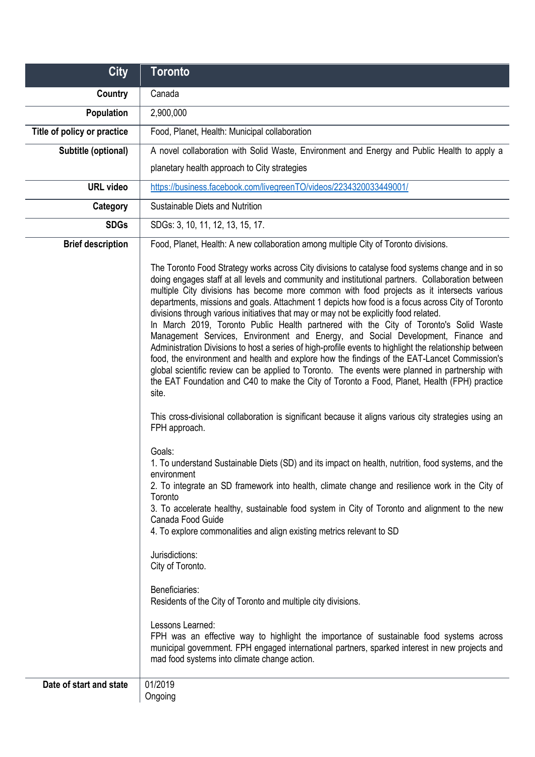| <b>City</b>                 | <b>Toronto</b>                                                                                                                                                                                                                                                                                                                                                                                                                                                                                                                                                                                                                                                                                                                                                                                                                                                                                                                                                                                                                                                                                     |
|-----------------------------|----------------------------------------------------------------------------------------------------------------------------------------------------------------------------------------------------------------------------------------------------------------------------------------------------------------------------------------------------------------------------------------------------------------------------------------------------------------------------------------------------------------------------------------------------------------------------------------------------------------------------------------------------------------------------------------------------------------------------------------------------------------------------------------------------------------------------------------------------------------------------------------------------------------------------------------------------------------------------------------------------------------------------------------------------------------------------------------------------|
| Country                     | Canada                                                                                                                                                                                                                                                                                                                                                                                                                                                                                                                                                                                                                                                                                                                                                                                                                                                                                                                                                                                                                                                                                             |
| Population                  | 2,900,000                                                                                                                                                                                                                                                                                                                                                                                                                                                                                                                                                                                                                                                                                                                                                                                                                                                                                                                                                                                                                                                                                          |
| Title of policy or practice | Food, Planet, Health: Municipal collaboration                                                                                                                                                                                                                                                                                                                                                                                                                                                                                                                                                                                                                                                                                                                                                                                                                                                                                                                                                                                                                                                      |
| Subtitle (optional)         | A novel collaboration with Solid Waste, Environment and Energy and Public Health to apply a                                                                                                                                                                                                                                                                                                                                                                                                                                                                                                                                                                                                                                                                                                                                                                                                                                                                                                                                                                                                        |
|                             | planetary health approach to City strategies                                                                                                                                                                                                                                                                                                                                                                                                                                                                                                                                                                                                                                                                                                                                                                                                                                                                                                                                                                                                                                                       |
| <b>URL</b> video            | https://business.facebook.com/livegreenTO/videos/2234320033449001/                                                                                                                                                                                                                                                                                                                                                                                                                                                                                                                                                                                                                                                                                                                                                                                                                                                                                                                                                                                                                                 |
| Category                    | Sustainable Diets and Nutrition                                                                                                                                                                                                                                                                                                                                                                                                                                                                                                                                                                                                                                                                                                                                                                                                                                                                                                                                                                                                                                                                    |
| <b>SDGs</b>                 | SDGs: 3, 10, 11, 12, 13, 15, 17.                                                                                                                                                                                                                                                                                                                                                                                                                                                                                                                                                                                                                                                                                                                                                                                                                                                                                                                                                                                                                                                                   |
| <b>Brief description</b>    | Food, Planet, Health: A new collaboration among multiple City of Toronto divisions.                                                                                                                                                                                                                                                                                                                                                                                                                                                                                                                                                                                                                                                                                                                                                                                                                                                                                                                                                                                                                |
|                             | The Toronto Food Strategy works across City divisions to catalyse food systems change and in so<br>doing engages staff at all levels and community and institutional partners. Collaboration between<br>multiple City divisions has become more common with food projects as it intersects various<br>departments, missions and goals. Attachment 1 depicts how food is a focus across City of Toronto<br>divisions through various initiatives that may or may not be explicitly food related.<br>In March 2019, Toronto Public Health partnered with the City of Toronto's Solid Waste<br>Management Services, Environment and Energy, and Social Development, Finance and<br>Administration Divisions to host a series of high-profile events to highlight the relationship between<br>food, the environment and health and explore how the findings of the EAT-Lancet Commission's<br>global scientific review can be applied to Toronto. The events were planned in partnership with<br>the EAT Foundation and C40 to make the City of Toronto a Food, Planet, Health (FPH) practice<br>site. |
|                             | This cross-divisional collaboration is significant because it aligns various city strategies using an<br>FPH approach.                                                                                                                                                                                                                                                                                                                                                                                                                                                                                                                                                                                                                                                                                                                                                                                                                                                                                                                                                                             |
|                             | Goals:<br>1. To understand Sustainable Diets (SD) and its impact on health, nutrition, food systems, and the<br>environment<br>2. To integrate an SD framework into health, climate change and resilience work in the City of<br>Toronto<br>3. To accelerate healthy, sustainable food system in City of Toronto and alignment to the new<br>Canada Food Guide<br>4. To explore commonalities and align existing metrics relevant to SD                                                                                                                                                                                                                                                                                                                                                                                                                                                                                                                                                                                                                                                            |
|                             | Jurisdictions:<br>City of Toronto.                                                                                                                                                                                                                                                                                                                                                                                                                                                                                                                                                                                                                                                                                                                                                                                                                                                                                                                                                                                                                                                                 |
|                             | Beneficiaries:<br>Residents of the City of Toronto and multiple city divisions.                                                                                                                                                                                                                                                                                                                                                                                                                                                                                                                                                                                                                                                                                                                                                                                                                                                                                                                                                                                                                    |
|                             | Lessons Learned:<br>FPH was an effective way to highlight the importance of sustainable food systems across<br>municipal government. FPH engaged international partners, sparked interest in new projects and<br>mad food systems into climate change action.                                                                                                                                                                                                                                                                                                                                                                                                                                                                                                                                                                                                                                                                                                                                                                                                                                      |
| Date of start and state     | 01/2019<br>Ongoing                                                                                                                                                                                                                                                                                                                                                                                                                                                                                                                                                                                                                                                                                                                                                                                                                                                                                                                                                                                                                                                                                 |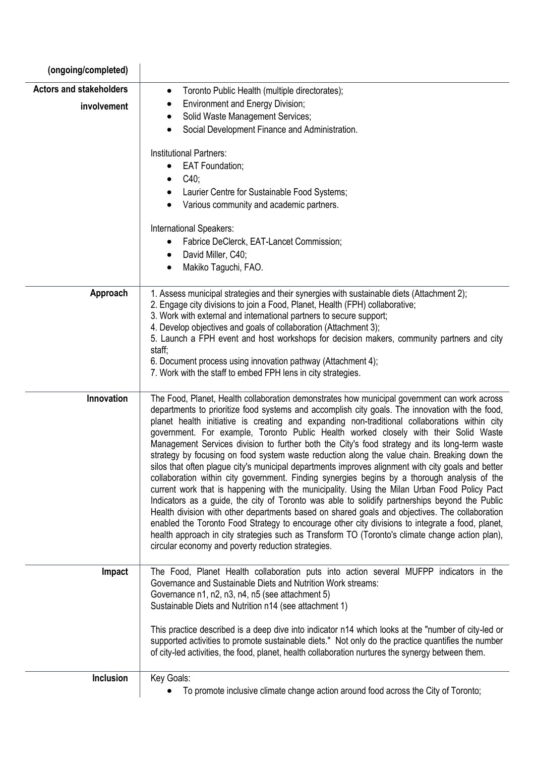| (ongoing/completed)            |                                                                                                                                                                                                                                                                                                                                                                                                                                                                                                                                                                                                                                                                                                                                                                                                                                                                                                                                                                                                                                                                                                                                                                                                                                                                                                                                                                  |
|--------------------------------|------------------------------------------------------------------------------------------------------------------------------------------------------------------------------------------------------------------------------------------------------------------------------------------------------------------------------------------------------------------------------------------------------------------------------------------------------------------------------------------------------------------------------------------------------------------------------------------------------------------------------------------------------------------------------------------------------------------------------------------------------------------------------------------------------------------------------------------------------------------------------------------------------------------------------------------------------------------------------------------------------------------------------------------------------------------------------------------------------------------------------------------------------------------------------------------------------------------------------------------------------------------------------------------------------------------------------------------------------------------|
| <b>Actors and stakeholders</b> | Toronto Public Health (multiple directorates);<br>$\bullet$                                                                                                                                                                                                                                                                                                                                                                                                                                                                                                                                                                                                                                                                                                                                                                                                                                                                                                                                                                                                                                                                                                                                                                                                                                                                                                      |
| involvement                    | <b>Environment and Energy Division;</b>                                                                                                                                                                                                                                                                                                                                                                                                                                                                                                                                                                                                                                                                                                                                                                                                                                                                                                                                                                                                                                                                                                                                                                                                                                                                                                                          |
|                                | Solid Waste Management Services;                                                                                                                                                                                                                                                                                                                                                                                                                                                                                                                                                                                                                                                                                                                                                                                                                                                                                                                                                                                                                                                                                                                                                                                                                                                                                                                                 |
|                                | Social Development Finance and Administration.                                                                                                                                                                                                                                                                                                                                                                                                                                                                                                                                                                                                                                                                                                                                                                                                                                                                                                                                                                                                                                                                                                                                                                                                                                                                                                                   |
|                                | <b>Institutional Partners:</b>                                                                                                                                                                                                                                                                                                                                                                                                                                                                                                                                                                                                                                                                                                                                                                                                                                                                                                                                                                                                                                                                                                                                                                                                                                                                                                                                   |
|                                | <b>EAT Foundation;</b>                                                                                                                                                                                                                                                                                                                                                                                                                                                                                                                                                                                                                                                                                                                                                                                                                                                                                                                                                                                                                                                                                                                                                                                                                                                                                                                                           |
|                                | $C40$ ;                                                                                                                                                                                                                                                                                                                                                                                                                                                                                                                                                                                                                                                                                                                                                                                                                                                                                                                                                                                                                                                                                                                                                                                                                                                                                                                                                          |
|                                | Laurier Centre for Sustainable Food Systems;                                                                                                                                                                                                                                                                                                                                                                                                                                                                                                                                                                                                                                                                                                                                                                                                                                                                                                                                                                                                                                                                                                                                                                                                                                                                                                                     |
|                                | Various community and academic partners.                                                                                                                                                                                                                                                                                                                                                                                                                                                                                                                                                                                                                                                                                                                                                                                                                                                                                                                                                                                                                                                                                                                                                                                                                                                                                                                         |
|                                | International Speakers:                                                                                                                                                                                                                                                                                                                                                                                                                                                                                                                                                                                                                                                                                                                                                                                                                                                                                                                                                                                                                                                                                                                                                                                                                                                                                                                                          |
|                                | Fabrice DeClerck, EAT-Lancet Commission;                                                                                                                                                                                                                                                                                                                                                                                                                                                                                                                                                                                                                                                                                                                                                                                                                                                                                                                                                                                                                                                                                                                                                                                                                                                                                                                         |
|                                | David Miller, C40;<br>$\bullet$                                                                                                                                                                                                                                                                                                                                                                                                                                                                                                                                                                                                                                                                                                                                                                                                                                                                                                                                                                                                                                                                                                                                                                                                                                                                                                                                  |
|                                | Makiko Taguchi, FAO.                                                                                                                                                                                                                                                                                                                                                                                                                                                                                                                                                                                                                                                                                                                                                                                                                                                                                                                                                                                                                                                                                                                                                                                                                                                                                                                                             |
| Approach                       | 1. Assess municipal strategies and their synergies with sustainable diets (Attachment 2);                                                                                                                                                                                                                                                                                                                                                                                                                                                                                                                                                                                                                                                                                                                                                                                                                                                                                                                                                                                                                                                                                                                                                                                                                                                                        |
|                                | 2. Engage city divisions to join a Food, Planet, Health (FPH) collaborative;                                                                                                                                                                                                                                                                                                                                                                                                                                                                                                                                                                                                                                                                                                                                                                                                                                                                                                                                                                                                                                                                                                                                                                                                                                                                                     |
|                                | 3. Work with external and international partners to secure support;                                                                                                                                                                                                                                                                                                                                                                                                                                                                                                                                                                                                                                                                                                                                                                                                                                                                                                                                                                                                                                                                                                                                                                                                                                                                                              |
|                                | 4. Develop objectives and goals of collaboration (Attachment 3);<br>5. Launch a FPH event and host workshops for decision makers, community partners and city                                                                                                                                                                                                                                                                                                                                                                                                                                                                                                                                                                                                                                                                                                                                                                                                                                                                                                                                                                                                                                                                                                                                                                                                    |
|                                | staff;                                                                                                                                                                                                                                                                                                                                                                                                                                                                                                                                                                                                                                                                                                                                                                                                                                                                                                                                                                                                                                                                                                                                                                                                                                                                                                                                                           |
|                                | 6. Document process using innovation pathway (Attachment 4);                                                                                                                                                                                                                                                                                                                                                                                                                                                                                                                                                                                                                                                                                                                                                                                                                                                                                                                                                                                                                                                                                                                                                                                                                                                                                                     |
|                                | 7. Work with the staff to embed FPH lens in city strategies.                                                                                                                                                                                                                                                                                                                                                                                                                                                                                                                                                                                                                                                                                                                                                                                                                                                                                                                                                                                                                                                                                                                                                                                                                                                                                                     |
| Innovation                     | The Food, Planet, Health collaboration demonstrates how municipal government can work across<br>departments to prioritize food systems and accomplish city goals. The innovation with the food,<br>planet health initiative is creating and expanding non-traditional collaborations within city<br>government. For example, Toronto Public Health worked closely with their Solid Waste<br>Management Services division to further both the City's food strategy and its long-term waste<br>strategy by focusing on food system waste reduction along the value chain. Breaking down the<br>silos that often plague city's municipal departments improves alignment with city goals and better<br>collaboration within city government. Finding synergies begins by a thorough analysis of the<br>current work that is happening with the municipality. Using the Milan Urban Food Policy Pact<br>Indicators as a guide, the city of Toronto was able to solidify partnerships beyond the Public<br>Health division with other departments based on shared goals and objectives. The collaboration<br>enabled the Toronto Food Strategy to encourage other city divisions to integrate a food, planet,<br>health approach in city strategies such as Transform TO (Toronto's climate change action plan),<br>circular economy and poverty reduction strategies. |
| Impact                         | The Food, Planet Health collaboration puts into action several MUFPP indicators in the<br>Governance and Sustainable Diets and Nutrition Work streams:<br>Governance n1, n2, n3, n4, n5 (see attachment 5)<br>Sustainable Diets and Nutrition n14 (see attachment 1)                                                                                                                                                                                                                                                                                                                                                                                                                                                                                                                                                                                                                                                                                                                                                                                                                                                                                                                                                                                                                                                                                             |
|                                | This practice described is a deep dive into indicator n14 which looks at the "number of city-led or<br>supported activities to promote sustainable diets." Not only do the practice quantifies the number<br>of city-led activities, the food, planet, health collaboration nurtures the synergy between them.                                                                                                                                                                                                                                                                                                                                                                                                                                                                                                                                                                                                                                                                                                                                                                                                                                                                                                                                                                                                                                                   |
| Inclusion                      | Key Goals:                                                                                                                                                                                                                                                                                                                                                                                                                                                                                                                                                                                                                                                                                                                                                                                                                                                                                                                                                                                                                                                                                                                                                                                                                                                                                                                                                       |
|                                | To promote inclusive climate change action around food across the City of Toronto;                                                                                                                                                                                                                                                                                                                                                                                                                                                                                                                                                                                                                                                                                                                                                                                                                                                                                                                                                                                                                                                                                                                                                                                                                                                                               |